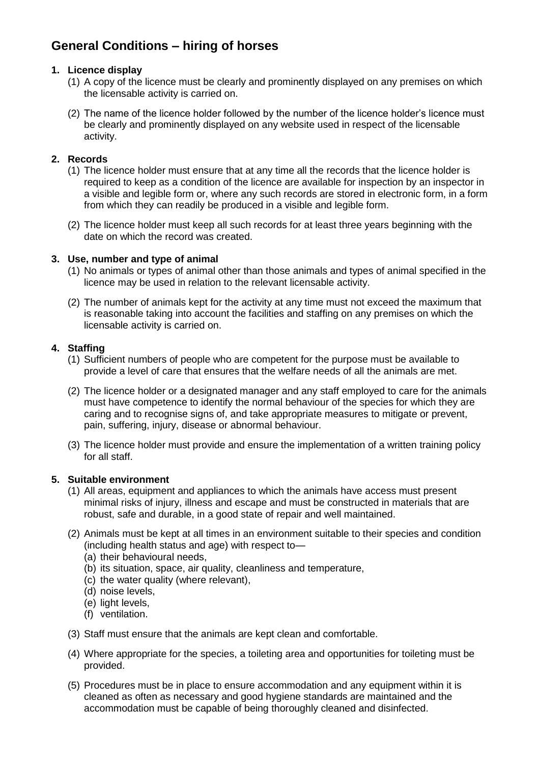# **General Conditions – hiring of horses**

### **1. Licence display**

- (1) A copy of the licence must be clearly and prominently displayed on any premises on which the licensable activity is carried on.
- (2) The name of the licence holder followed by the number of the licence holder's licence must be clearly and prominently displayed on any website used in respect of the licensable activity.

### **2. Records**

- (1) The licence holder must ensure that at any time all the records that the licence holder is required to keep as a condition of the licence are available for inspection by an inspector in a visible and legible form or, where any such records are stored in electronic form, in a form from which they can readily be produced in a visible and legible form.
- (2) The licence holder must keep all such records for at least three years beginning with the date on which the record was created.

### **3. Use, number and type of animal**

- (1) No animals or types of animal other than those animals and types of animal specified in the licence may be used in relation to the relevant licensable activity.
- (2) The number of animals kept for the activity at any time must not exceed the maximum that is reasonable taking into account the facilities and staffing on any premises on which the licensable activity is carried on.

### **4. Staffing**

- (1) Sufficient numbers of people who are competent for the purpose must be available to provide a level of care that ensures that the welfare needs of all the animals are met.
- (2) The licence holder or a designated manager and any staff employed to care for the animals must have competence to identify the normal behaviour of the species for which they are caring and to recognise signs of, and take appropriate measures to mitigate or prevent, pain, suffering, injury, disease or abnormal behaviour.
- (3) The licence holder must provide and ensure the implementation of a written training policy for all staff.

#### **5. Suitable environment**

- (1) All areas, equipment and appliances to which the animals have access must present minimal risks of injury, illness and escape and must be constructed in materials that are robust, safe and durable, in a good state of repair and well maintained.
- (2) Animals must be kept at all times in an environment suitable to their species and condition (including health status and age) with respect to—
	- (a) their behavioural needs,
	- (b) its situation, space, air quality, cleanliness and temperature,
	- (c) the water quality (where relevant),
	- (d) noise levels,
	- (e) light levels,
	- (f) ventilation.
- (3) Staff must ensure that the animals are kept clean and comfortable.
- (4) Where appropriate for the species, a toileting area and opportunities for toileting must be provided.
- (5) Procedures must be in place to ensure accommodation and any equipment within it is cleaned as often as necessary and good hygiene standards are maintained and the accommodation must be capable of being thoroughly cleaned and disinfected.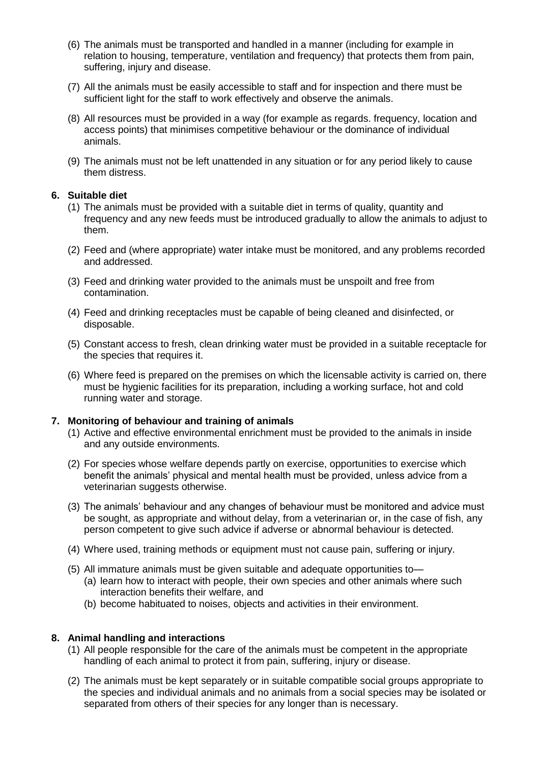- (6) The animals must be transported and handled in a manner (including for example in relation to housing, temperature, ventilation and frequency) that protects them from pain, suffering, injury and disease.
- (7) All the animals must be easily accessible to staff and for inspection and there must be sufficient light for the staff to work effectively and observe the animals.
- (8) All resources must be provided in a way (for example as regards. frequency, location and access points) that minimises competitive behaviour or the dominance of individual animals.
- (9) The animals must not be left unattended in any situation or for any period likely to cause them distress.

#### **6. Suitable diet**

- (1) The animals must be provided with a suitable diet in terms of quality, quantity and frequency and any new feeds must be introduced gradually to allow the animals to adjust to them.
- (2) Feed and (where appropriate) water intake must be monitored, and any problems recorded and addressed.
- (3) Feed and drinking water provided to the animals must be unspoilt and free from contamination.
- (4) Feed and drinking receptacles must be capable of being cleaned and disinfected, or disposable.
- (5) Constant access to fresh, clean drinking water must be provided in a suitable receptacle for the species that requires it.
- (6) Where feed is prepared on the premises on which the licensable activity is carried on, there must be hygienic facilities for its preparation, including a working surface, hot and cold running water and storage.

#### **7. Monitoring of behaviour and training of animals**

- (1) Active and effective environmental enrichment must be provided to the animals in inside and any outside environments.
- (2) For species whose welfare depends partly on exercise, opportunities to exercise which benefit the animals' physical and mental health must be provided, unless advice from a veterinarian suggests otherwise.
- (3) The animals' behaviour and any changes of behaviour must be monitored and advice must be sought, as appropriate and without delay, from a veterinarian or, in the case of fish, any person competent to give such advice if adverse or abnormal behaviour is detected.
- (4) Where used, training methods or equipment must not cause pain, suffering or injury.
- (5) All immature animals must be given suitable and adequate opportunities to—
	- (a) learn how to interact with people, their own species and other animals where such interaction benefits their welfare, and
	- (b) become habituated to noises, objects and activities in their environment.

#### **8. Animal handling and interactions**

- (1) All people responsible for the care of the animals must be competent in the appropriate handling of each animal to protect it from pain, suffering, injury or disease.
- (2) The animals must be kept separately or in suitable compatible social groups appropriate to the species and individual animals and no animals from a social species may be isolated or separated from others of their species for any longer than is necessary.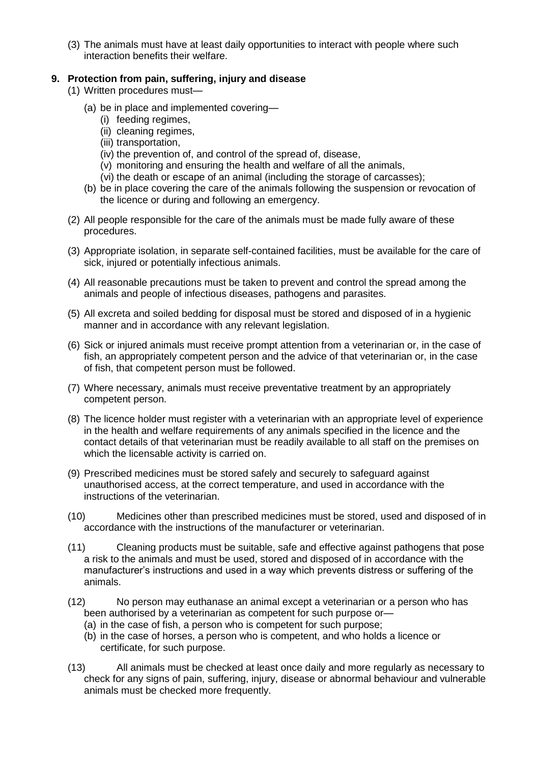(3) The animals must have at least daily opportunities to interact with people where such interaction benefits their welfare.

### **9. Protection from pain, suffering, injury and disease**

(1) Written procedures must—

- (a) be in place and implemented covering—
	- (i) feeding regimes,
	- (ii) cleaning regimes,
	- (iii) transportation,
	- (iv) the prevention of, and control of the spread of, disease,
	- (v) monitoring and ensuring the health and welfare of all the animals,
	- (vi) the death or escape of an animal (including the storage of carcasses);
- (b) be in place covering the care of the animals following the suspension or revocation of the licence or during and following an emergency.
- (2) All people responsible for the care of the animals must be made fully aware of these procedures.
- (3) Appropriate isolation, in separate self-contained facilities, must be available for the care of sick, injured or potentially infectious animals.
- (4) All reasonable precautions must be taken to prevent and control the spread among the animals and people of infectious diseases, pathogens and parasites.
- (5) All excreta and soiled bedding for disposal must be stored and disposed of in a hygienic manner and in accordance with any relevant legislation.
- (6) Sick or injured animals must receive prompt attention from a veterinarian or, in the case of fish, an appropriately competent person and the advice of that veterinarian or, in the case of fish, that competent person must be followed.
- (7) Where necessary, animals must receive preventative treatment by an appropriately competent person.
- (8) The licence holder must register with a veterinarian with an appropriate level of experience in the health and welfare requirements of any animals specified in the licence and the contact details of that veterinarian must be readily available to all staff on the premises on which the licensable activity is carried on.
- (9) Prescribed medicines must be stored safely and securely to safeguard against unauthorised access, at the correct temperature, and used in accordance with the instructions of the veterinarian.
- (10) Medicines other than prescribed medicines must be stored, used and disposed of in accordance with the instructions of the manufacturer or veterinarian.
- (11) Cleaning products must be suitable, safe and effective against pathogens that pose a risk to the animals and must be used, stored and disposed of in accordance with the manufacturer's instructions and used in a way which prevents distress or suffering of the animals.
- (12) No person may euthanase an animal except a veterinarian or a person who has been authorised by a veterinarian as competent for such purpose or—
	- (a) in the case of fish, a person who is competent for such purpose;
	- (b) in the case of horses, a person who is competent, and who holds a licence or certificate, for such purpose.
- (13) All animals must be checked at least once daily and more regularly as necessary to check for any signs of pain, suffering, injury, disease or abnormal behaviour and vulnerable animals must be checked more frequently.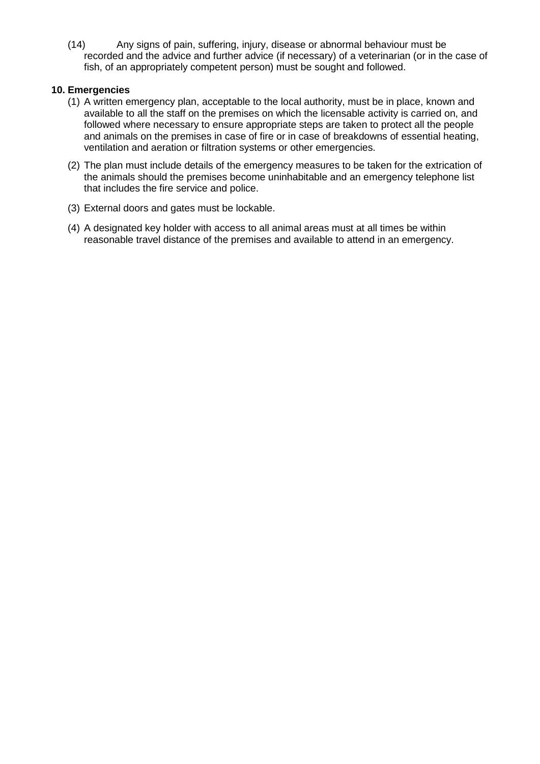(14) Any signs of pain, suffering, injury, disease or abnormal behaviour must be recorded and the advice and further advice (if necessary) of a veterinarian (or in the case of fish, of an appropriately competent person) must be sought and followed.

#### **10. Emergencies**

- (1) A written emergency plan, acceptable to the local authority, must be in place, known and available to all the staff on the premises on which the licensable activity is carried on, and followed where necessary to ensure appropriate steps are taken to protect all the people and animals on the premises in case of fire or in case of breakdowns of essential heating, ventilation and aeration or filtration systems or other emergencies.
- (2) The plan must include details of the emergency measures to be taken for the extrication of the animals should the premises become uninhabitable and an emergency telephone list that includes the fire service and police.
- (3) External doors and gates must be lockable.
- (4) A designated key holder with access to all animal areas must at all times be within reasonable travel distance of the premises and available to attend in an emergency.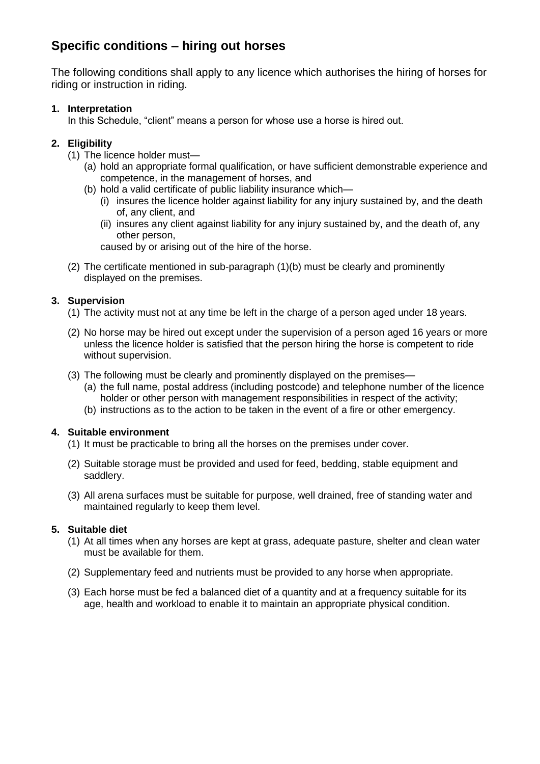# **Specific conditions – hiring out horses**

The following conditions shall apply to any licence which authorises the hiring of horses for riding or instruction in riding.

## **1. Interpretation**

In this Schedule, "client" means a person for whose use a horse is hired out.

## **2. Eligibility**

- (1) The licence holder must—
	- (a) hold an appropriate formal qualification, or have sufficient demonstrable experience and competence, in the management of horses, and
	- (b) hold a valid certificate of public liability insurance which—
		- (i) insures the licence holder against liability for any injury sustained by, and the death of, any client, and
		- (ii) insures any client against liability for any injury sustained by, and the death of, any other person,

caused by or arising out of the hire of the horse.

(2) The certificate mentioned in sub-paragraph (1)(b) must be clearly and prominently displayed on the premises.

## **3. Supervision**

- (1) The activity must not at any time be left in the charge of a person aged under 18 years.
- (2) No horse may be hired out except under the supervision of a person aged 16 years or more unless the licence holder is satisfied that the person hiring the horse is competent to ride without supervision.
- (3) The following must be clearly and prominently displayed on the premises—
	- (a) the full name, postal address (including postcode) and telephone number of the licence holder or other person with management responsibilities in respect of the activity;
	- (b) instructions as to the action to be taken in the event of a fire or other emergency.

## **4. Suitable environment**

- (1) It must be practicable to bring all the horses on the premises under cover.
- (2) Suitable storage must be provided and used for feed, bedding, stable equipment and saddlery.
- (3) All arena surfaces must be suitable for purpose, well drained, free of standing water and maintained regularly to keep them level.

## **5. Suitable diet**

- (1) At all times when any horses are kept at grass, adequate pasture, shelter and clean water must be available for them.
- (2) Supplementary feed and nutrients must be provided to any horse when appropriate.
- (3) Each horse must be fed a balanced diet of a quantity and at a frequency suitable for its age, health and workload to enable it to maintain an appropriate physical condition.